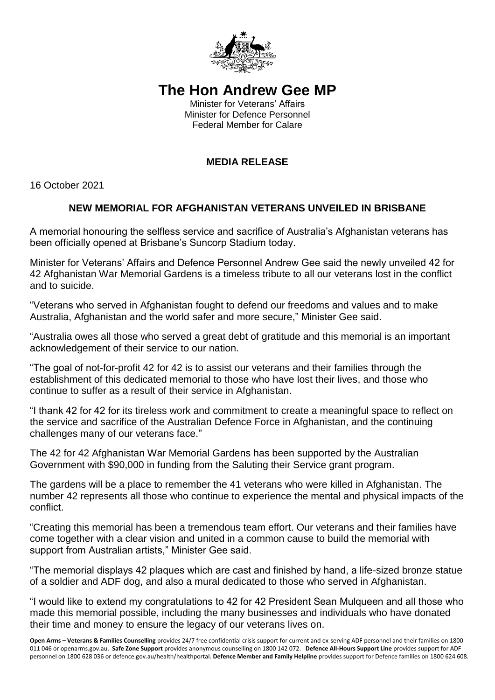

## **The Hon Andrew Gee MP**

Minister for Veterans' Affairs Minister for Defence Personnel Federal Member for Calare

## **MEDIA RELEASE**

16 October 2021

## **NEW MEMORIAL FOR AFGHANISTAN VETERANS UNVEILED IN BRISBANE**

A memorial honouring the selfless service and sacrifice of Australia's Afghanistan veterans has been officially opened at Brisbane's Suncorp Stadium today.

Minister for Veterans' Affairs and Defence Personnel Andrew Gee said the newly unveiled 42 for 42 Afghanistan War Memorial Gardens is a timeless tribute to all our veterans lost in the conflict and to suicide.

"Veterans who served in Afghanistan fought to defend our freedoms and values and to make Australia, Afghanistan and the world safer and more secure," Minister Gee said.

"Australia owes all those who served a great debt of gratitude and this memorial is an important acknowledgement of their service to our nation.

"The goal of not-for-profit 42 for 42 is to assist our veterans and their families through the establishment of this dedicated memorial to those who have lost their lives, and those who continue to suffer as a result of their service in Afghanistan.

"I thank 42 for 42 for its tireless work and commitment to create a meaningful space to reflect on the service and sacrifice of the Australian Defence Force in Afghanistan, and the continuing challenges many of our veterans face."

The 42 for 42 Afghanistan War Memorial Gardens has been supported by the Australian Government with \$90,000 in funding from the Saluting their Service grant program.

The gardens will be a place to remember the 41 veterans who were killed in Afghanistan. The number 42 represents all those who continue to experience the mental and physical impacts of the conflict.

"Creating this memorial has been a tremendous team effort. Our veterans and their families have come together with a clear vision and united in a common cause to build the memorial with support from Australian artists," Minister Gee said.

"The memorial displays 42 plaques which are cast and finished by hand, a life-sized bronze statue of a soldier and ADF dog, and also a mural dedicated to those who served in Afghanistan.

"I would like to extend my congratulations to 42 for 42 President Sean Mulqueen and all those who made this memorial possible, including the many businesses and individuals who have donated their time and money to ensure the legacy of our veterans lives on.

**Open Arms – Veterans & Families Counselling** provides 24/7 free confidential crisis support for current and ex-serving ADF personnel and their families on 1800 011 046 or openarms.gov.au. **Safe Zone Support** provides anonymous counselling on 1800 142 072. **Defence All-Hours Support Line** provides support for ADF personnel on 1800 628 036 or defence.gov.au/health/healthportal. **Defence Member and Family Helpline** provides support for Defence families on 1800 624 608.